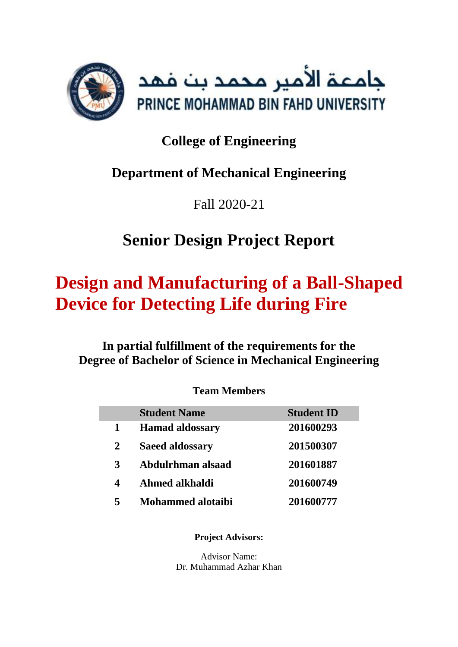

# **College of Engineering**

# **Department of Mechanical Engineering**

Fall 2020-21

# **Senior Design Project Report**

# **Design and Manufacturing of a Ball-Shaped Device for Detecting Life during Fire**

## **In partial fulfillment of the requirements for the Degree of Bachelor of Science in Mechanical Engineering**

## **Team Members**

|             | <b>Student Name</b>      | <b>Student ID</b> |
|-------------|--------------------------|-------------------|
| 1           | <b>Hamad aldossary</b>   | 201600293         |
| $\mathbf 2$ | <b>Saeed aldossary</b>   | 201500307         |
| 3           | Abdulrhman alsaad        | 201601887         |
| 4           | Ahmed alkhaldi           | 201600749         |
| 5           | <b>Mohammed alotaibi</b> | 201600777         |

**Project Advisors:**

Advisor Name: Dr. Muhammad Azhar Khan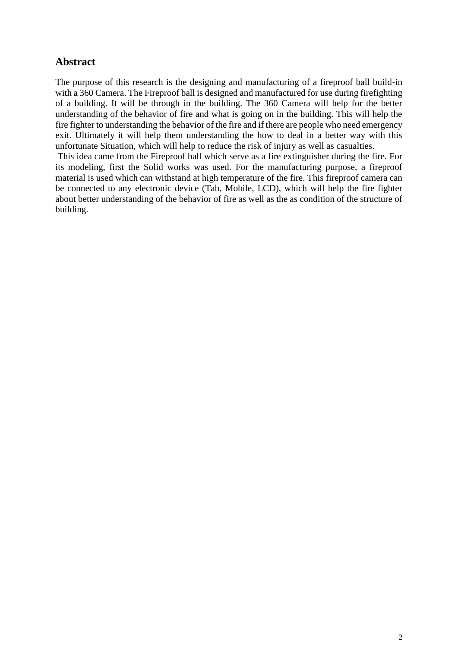#### <span id="page-1-0"></span>**Abstract**

The purpose of this research is the designing and manufacturing of a fireproof ball build-in with a 360 Camera. The Fireproof ball is designed and manufactured for use during firefighting of a building. It will be through in the building. The 360 Camera will help for the better understanding of the behavior of fire and what is going on in the building. This will help the fire fighter to understanding the behavior of the fire and if there are people who need emergency exit. Ultimately it will help them understanding the how to deal in a better way with this unfortunate Situation, which will help to reduce the risk of injury as well as casualties.

This idea came from the Fireproof ball which serve as a fire extinguisher during the fire. For its modeling, first the Solid works was used. For the manufacturing purpose, a fireproof material is used which can withstand at high temperature of the fire. This fireproof camera can be connected to any electronic device (Tab, Mobile, LCD), which will help the fire fighter about better understanding of the behavior of fire as well as the as condition of the structure of building.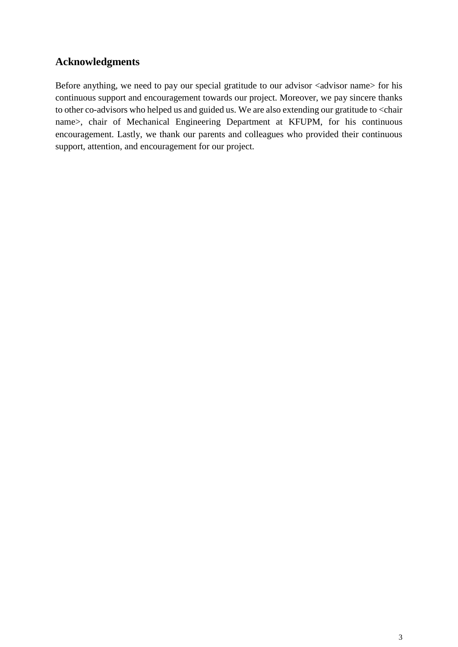### <span id="page-2-0"></span>**Acknowledgments**

Before anything, we need to pay our special gratitude to our advisor <advisor name> for his continuous support and encouragement towards our project. Moreover, we pay sincere thanks to other co-advisors who helped us and guided us. We are also extending our gratitude to <chair name>, chair of Mechanical Engineering Department at KFUPM, for his continuous encouragement. Lastly, we thank our parents and colleagues who provided their continuous support, attention, and encouragement for our project.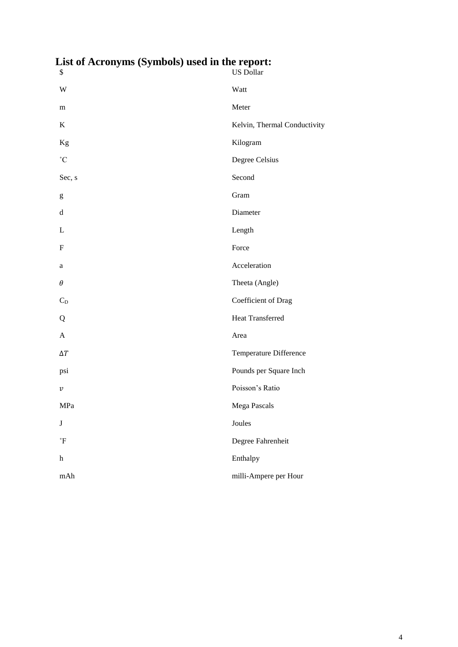| еля от Астонунія (буннооіз) изси ні піс терогі.<br>\$                                                                                                                                                                                                                                                                                                                                                                          | <b>US Dollar</b>             |
|--------------------------------------------------------------------------------------------------------------------------------------------------------------------------------------------------------------------------------------------------------------------------------------------------------------------------------------------------------------------------------------------------------------------------------|------------------------------|
| W                                                                                                                                                                                                                                                                                                                                                                                                                              | Watt                         |
| m                                                                                                                                                                                                                                                                                                                                                                                                                              | Meter                        |
| $\bf K$                                                                                                                                                                                                                                                                                                                                                                                                                        | Kelvin, Thermal Conductivity |
| Kg                                                                                                                                                                                                                                                                                                                                                                                                                             | Kilogram                     |
| $^\circ \text{C}$                                                                                                                                                                                                                                                                                                                                                                                                              | Degree Celsius               |
| Sec, s                                                                                                                                                                                                                                                                                                                                                                                                                         | Second                       |
| $\mathbf{g}% _{T}=\mathbf{g}_{T}=\mathbf{g}_{T}=\mathbf{g}_{T}=\mathbf{g}_{T}=\mathbf{g}_{T}=\mathbf{g}_{T}=\mathbf{g}_{T}=\mathbf{g}_{T}=\mathbf{g}_{T}=\mathbf{g}_{T}=\mathbf{g}_{T}=\mathbf{g}_{T}=\mathbf{g}_{T}=\mathbf{g}_{T}=\mathbf{g}_{T}=\mathbf{g}_{T}=\mathbf{g}_{T}=\mathbf{g}_{T}=\mathbf{g}_{T}=\mathbf{g}_{T}=\mathbf{g}_{T}=\mathbf{g}_{T}=\mathbf{g}_{T}=\mathbf{g}_{T}=\mathbf{g}_{T}=\mathbf{g}_{T}=\math$ | Gram                         |
| $\mathbf d$                                                                                                                                                                                                                                                                                                                                                                                                                    | Diameter                     |
| L                                                                                                                                                                                                                                                                                                                                                                                                                              | Length                       |
| $\boldsymbol{\mathrm{F}}$                                                                                                                                                                                                                                                                                                                                                                                                      | Force                        |
| a                                                                                                                                                                                                                                                                                                                                                                                                                              | Acceleration                 |
| $\theta$                                                                                                                                                                                                                                                                                                                                                                                                                       | Theeta (Angle)               |
| $C_D$                                                                                                                                                                                                                                                                                                                                                                                                                          | Coefficient of Drag          |
| Q                                                                                                                                                                                                                                                                                                                                                                                                                              | Heat Transferred             |
| $\mathbf{A}$                                                                                                                                                                                                                                                                                                                                                                                                                   | Area                         |
| $\Delta T$                                                                                                                                                                                                                                                                                                                                                                                                                     | Temperature Difference       |
| psi                                                                                                                                                                                                                                                                                                                                                                                                                            | Pounds per Square Inch       |
| $\boldsymbol{\mathcal{V}}$                                                                                                                                                                                                                                                                                                                                                                                                     | Poisson's Ratio              |
| MPa                                                                                                                                                                                                                                                                                                                                                                                                                            | Mega Pascals                 |
| $\bf J$                                                                                                                                                                                                                                                                                                                                                                                                                        | Joules                       |
| $^\circ \mathrm{F}$                                                                                                                                                                                                                                                                                                                                                                                                            | Degree Fahrenheit            |
| $\boldsymbol{\textbf{h}}$                                                                                                                                                                                                                                                                                                                                                                                                      | Enthalpy                     |
| mAh                                                                                                                                                                                                                                                                                                                                                                                                                            | milli-Ampere per Hour        |

<span id="page-3-0"></span>**List of Acronyms (Symbols) used in the report:**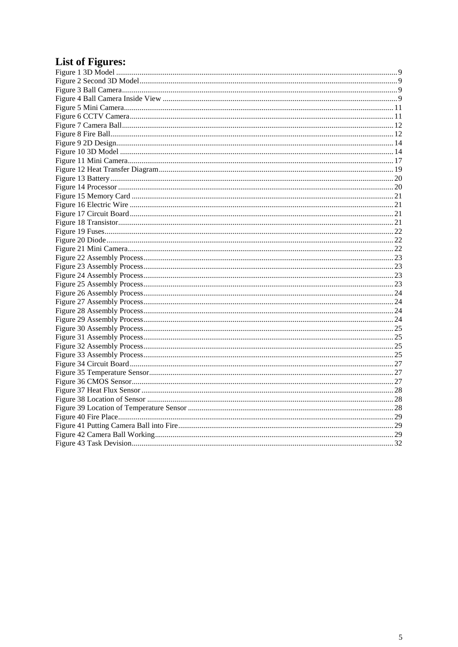## <span id="page-4-0"></span>**List of Figures:**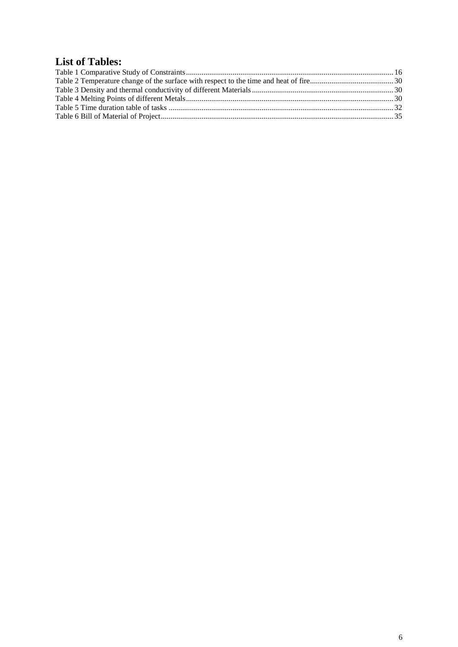## <span id="page-5-0"></span>**List of Tables:**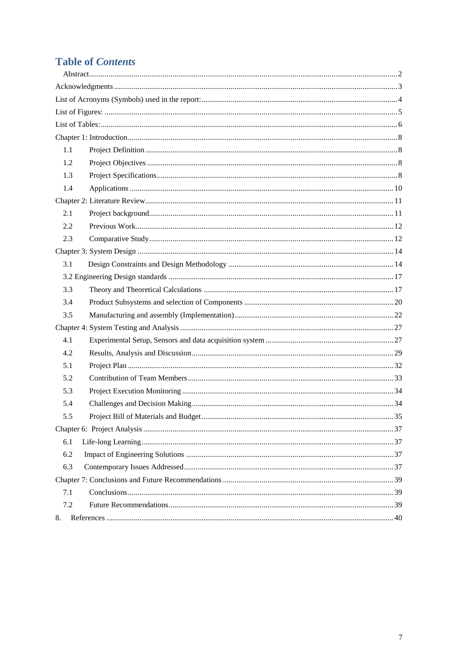## **Table of Contents**

| 1.1 |  |
|-----|--|
| 1.2 |  |
| 1.3 |  |
| 1.4 |  |
|     |  |
| 2.1 |  |
| 2.2 |  |
| 2.3 |  |
|     |  |
| 3.1 |  |
|     |  |
| 3.3 |  |
| 3.4 |  |
| 3.5 |  |
|     |  |
| 4.1 |  |
| 4.2 |  |
| 5.1 |  |
| 5.2 |  |
| 5.3 |  |
| 5.4 |  |
| 5.5 |  |
|     |  |
| 6.1 |  |
| 6.2 |  |
| 6.3 |  |
|     |  |
| 7.1 |  |
| 7.2 |  |
| 8.  |  |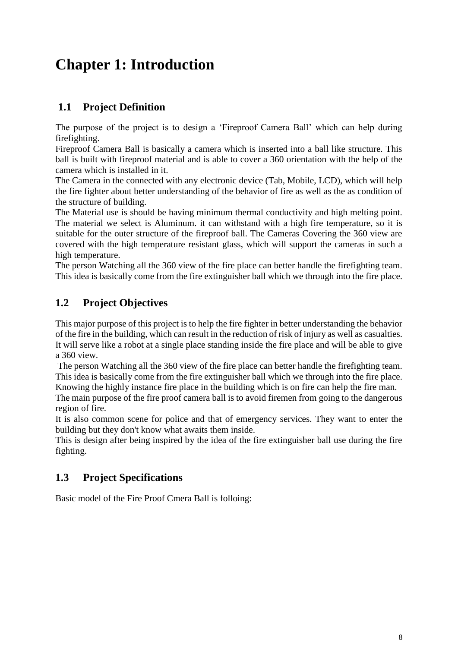# <span id="page-7-0"></span>**Chapter 1: Introduction**

## <span id="page-7-1"></span>**1.1 Project Definition**

The purpose of the project is to design a 'Fireproof Camera Ball' which can help during firefighting.

Fireproof Camera Ball is basically a camera which is inserted into a ball like structure. This ball is built with fireproof material and is able to cover a 360 orientation with the help of the camera which is installed in it.

The Camera in the connected with any electronic device (Tab, Mobile, LCD), which will help the fire fighter about better understanding of the behavior of fire as well as the as condition of the structure of building.

The Material use is should be having minimum thermal conductivity and high melting point. The material we select is Aluminum. it can withstand with a high fire temperature, so it is suitable for the outer structure of the fireproof ball. The Cameras Covering the 360 view are covered with the high temperature resistant glass, which will support the cameras in such a high temperature.

The person Watching all the 360 view of the fire place can better handle the firefighting team. This idea is basically come from the fire extinguisher ball which we through into the fire place.

## <span id="page-7-2"></span>**1.2 Project Objectives**

This major purpose of this project is to help the fire fighter in better understanding the behavior of the fire in the building, which can result in the reduction of risk of injury as well as casualties. It will serve like a robot at a single place standing inside the fire place and will be able to give a 360 view.

The person Watching all the 360 view of the fire place can better handle the firefighting team. This idea is basically come from the fire extinguisher ball which we through into the fire place. Knowing the highly instance fire place in the building which is on fire can help the fire man.

The main purpose of the fire proof camera ball is to avoid firemen from going to the dangerous region of fire.

It is also common scene for police and that of emergency services. They want to enter the building but they don't know what awaits them inside.

This is design after being inspired by the idea of the fire extinguisher ball use during the fire fighting.

## <span id="page-7-3"></span>**1.3 Project Specifications**

Basic model of the Fire Proof Cmera Ball is folloing: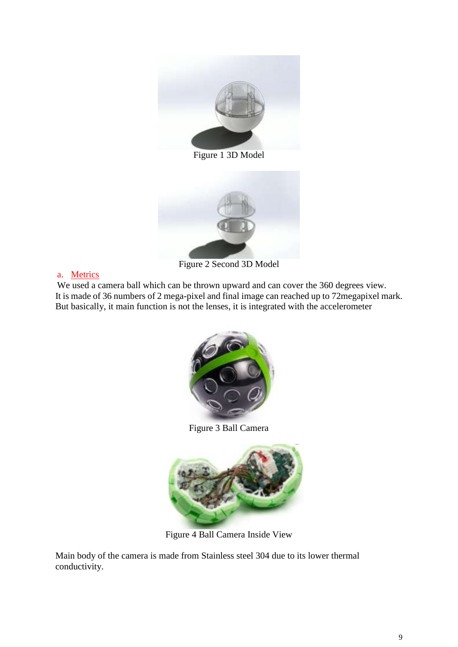

Figure 1 3D Model

<span id="page-8-0"></span>

Figure 2 Second 3D Model

#### <span id="page-8-1"></span>a. Metrics

We used a camera ball which can be thrown upward and can cover the 360 degrees view. It is made of 36 numbers of 2 mega-pixel and final image can reached up to 72megapixel mark. But basically, it main function is not the lenses, it is integrated with the accelerometer



Figure 3 Ball Camera

<span id="page-8-2"></span>

Figure 4 Ball Camera Inside View

<span id="page-8-3"></span>Main body of the camera is made from Stainless steel 304 due to its lower thermal conductivity.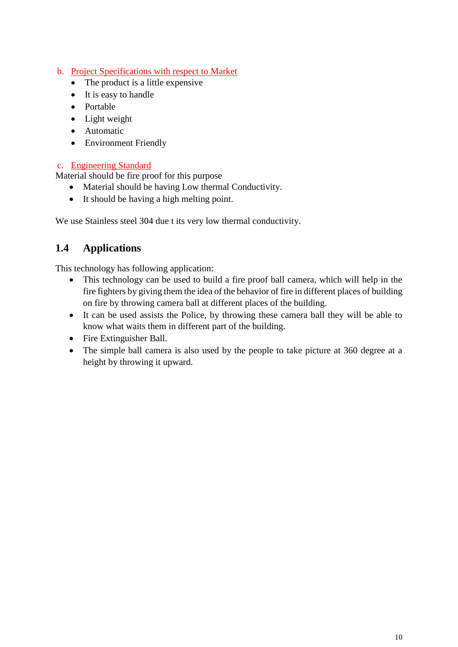#### b. Project Specifications with respect to Market

- The product is a little expensive
- It is easy to handle
- Portable
- Light weight
- Automatic
- Environment Friendly

#### c. Engineering Standard

Material should be fire proof for this purpose

- Material should be having Low thermal Conductivity.
- It should be having a high melting point.

We use Stainless steel 304 due t its very low thermal conductivity.

## <span id="page-9-0"></span>**1.4 Applications**

This technology has following application:

- This technology can be used to build a fire proof ball camera, which will help in the fire fighters by giving them the idea of the behavior of fire in different places of building on fire by throwing camera ball at different places of the building.
- It can be used assists the Police, by throwing these camera ball they will be able to know what waits them in different part of the building.
- Fire Extinguisher Ball.
- The simple ball camera is also used by the people to take picture at 360 degree at a height by throwing it upward.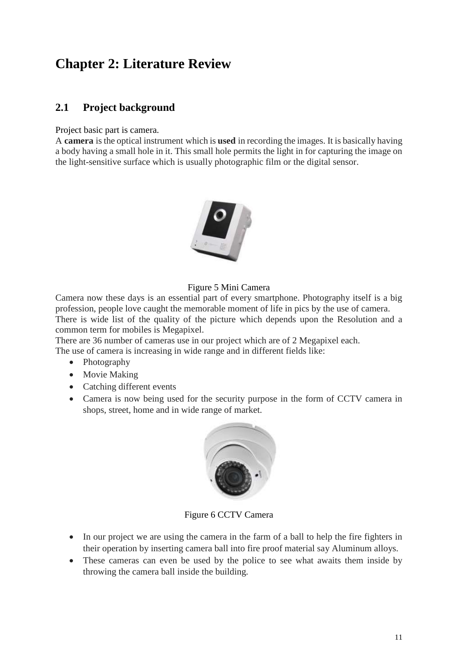## <span id="page-10-2"></span>**Chapter 2: Literature Review**

## <span id="page-10-3"></span>**2.1 Project background**

Project basic part is camera.

A **camera** is the optical instrument which is **used** in recording the images. It is basically having a body having a small hole in it. This small hole permits the light in for capturing the image on the light-sensitive surface which is usually photographic film or the digital sensor.



#### Figure 5 Mini Camera

<span id="page-10-0"></span>Camera now these days is an essential part of every smartphone. Photography itself is a big profession, people love caught the memorable moment of life in pics by the use of camera. There is wide list of the quality of the picture which depends upon the Resolution and a common term for mobiles is Megapixel.

There are 36 number of cameras use in our project which are of 2 Megapixel each. The use of camera is increasing in wide range and in different fields like:

- Photography
- Movie Making
- Catching different events
- Camera is now being used for the security purpose in the form of CCTV camera in shops, street, home and in wide range of market.



Figure 6 CCTV Camera

- <span id="page-10-1"></span>• In our project we are using the camera in the farm of a ball to help the fire fighters in their operation by inserting camera ball into fire proof material say Aluminum alloys.
- These cameras can even be used by the police to see what awaits them inside by throwing the camera ball inside the building.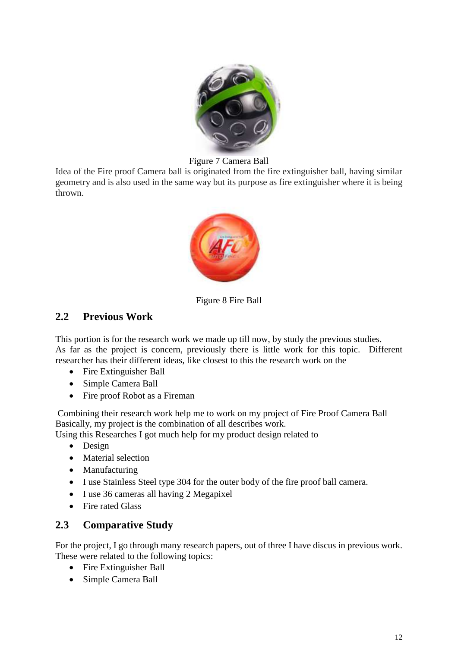

Figure 7 Camera Ball

<span id="page-11-0"></span>Idea of the Fire proof Camera ball is originated from the fire extinguisher ball, having similar geometry and is also used in the same way but its purpose as fire extinguisher where it is being thrown.



Figure 8 Fire Ball

#### <span id="page-11-2"></span><span id="page-11-1"></span>**2.2 Previous Work**

This portion is for the research work we made up till now, by study the previous studies. As far as the project is concern, previously there is little work for this topic. Different researcher has their different ideas, like closest to this the research work on the

- Fire Extinguisher Ball
- Simple Camera Ball
- Fire proof Robot as a Fireman

Combining their research work help me to work on my project of Fire Proof Camera Ball Basically, my project is the combination of all describes work.

Using this Researches I got much help for my product design related to

- Design
- Material selection
- Manufacturing
- I use Stainless Steel type 304 for the outer body of the fire proof ball camera.
- I use 36 cameras all having 2 Megapixel
- Fire rated Glass

#### <span id="page-11-3"></span>**2.3 Comparative Study**

For the project, I go through many research papers, out of three I have discus in previous work. These were related to the following topics:

- Fire Extinguisher Ball
- Simple Camera Ball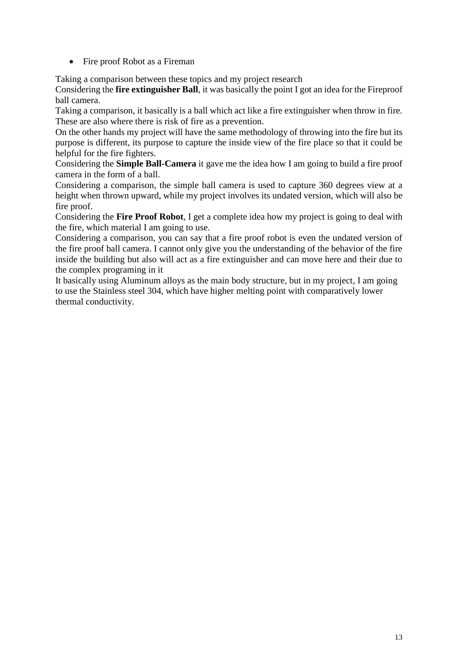• Fire proof Robot as a Fireman

Taking a comparison between these topics and my project research

Considering the **fire extinguisher Ball**, it was basically the point I got an idea for the Fireproof ball camera.

Taking a comparison, it basically is a ball which act like a fire extinguisher when throw in fire. These are also where there is risk of fire as a prevention.

On the other hands my project will have the same methodology of throwing into the fire but its purpose is different, its purpose to capture the inside view of the fire place so that it could be helpful for the fire fighters.

Considering the **Simple Ball-Camera** it gave me the idea how I am going to build a fire proof camera in the form of a ball.

Considering a comparison, the simple ball camera is used to capture 360 degrees view at a height when thrown upward, while my project involves its undated version, which will also be fire proof.

Considering the **Fire Proof Robot**, I get a complete idea how my project is going to deal with the fire, which material I am going to use.

Considering a comparison, you can say that a fire proof robot is even the undated version of the fire proof ball camera. I cannot only give you the understanding of the behavior of the fire inside the building but also will act as a fire extinguisher and can move here and their due to the complex programing in it

It basically using Aluminum alloys as the main body structure, but in my project, I am going to use the Stainless steel 304, which have higher melting point with comparatively lower thermal conductivity.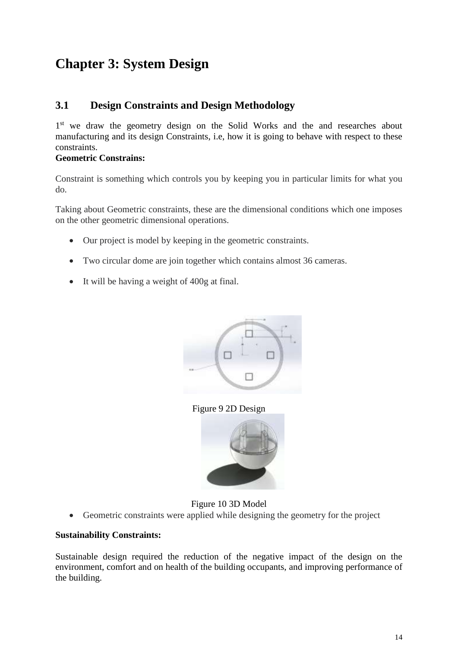# <span id="page-13-2"></span>**Chapter 3: System Design**

### <span id="page-13-3"></span>**3.1 Design Constraints and Design Methodology**

1<sup>st</sup> we draw the geometry design on the Solid Works and the and researches about manufacturing and its design Constraints, i.e, how it is going to behave with respect to these constraints.

#### **Geometric Constrains:**

Constraint is something which controls you by keeping you in particular limits for what you do.

Taking about Geometric constraints, these are the dimensional conditions which one imposes on the other geometric dimensional operations.

- Our project is model by keeping in the geometric constraints.
- Two circular dome are join together which contains almost 36 cameras.
- It will be having a weight of 400g at final.



Figure 9 2D Design



#### Figure 10 3D Model

<span id="page-13-1"></span><span id="page-13-0"></span>Geometric constraints were applied while designing the geometry for the project

#### **Sustainability Constraints:**

Sustainable design required the reduction of the negative impact of the design on the environment, comfort and on health of the building occupants, and improving performance of the building.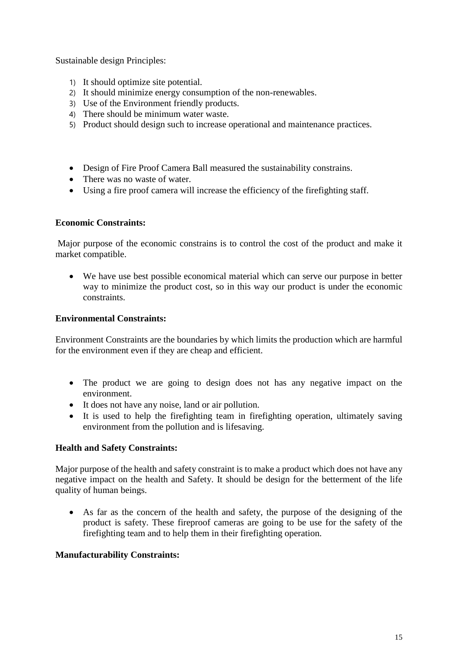Sustainable design Principles:

- 1) It should optimize site potential.
- 2) It should minimize energy consumption of the non-renewables.
- 3) Use of the Environment friendly products.
- 4) There should be minimum water waste.
- 5) Product should design such to increase operational and maintenance practices.
- Design of Fire Proof Camera Ball measured the sustainability constrains.
- There was no waste of water.
- Using a fire proof camera will increase the efficiency of the firefighting staff.

#### **Economic Constraints:**

Major purpose of the economic constrains is to control the cost of the product and make it market compatible.

 We have use best possible economical material which can serve our purpose in better way to minimize the product cost, so in this way our product is under the economic constraints.

#### **Environmental Constraints:**

Environment Constraints are the boundaries by which limits the production which are harmful for the environment even if they are cheap and efficient.

- The product we are going to design does not has any negative impact on the environment.
- It does not have any noise, land or air pollution.
- It is used to help the firefighting team in firefighting operation, ultimately saving environment from the pollution and is lifesaving.

#### **Health and Safety Constraints:**

Major purpose of the health and safety constraint is to make a product which does not have any negative impact on the health and Safety. It should be design for the betterment of the life quality of human beings.

 As far as the concern of the health and safety, the purpose of the designing of the product is safety. These fireproof cameras are going to be use for the safety of the firefighting team and to help them in their firefighting operation.

#### **Manufacturability Constraints:**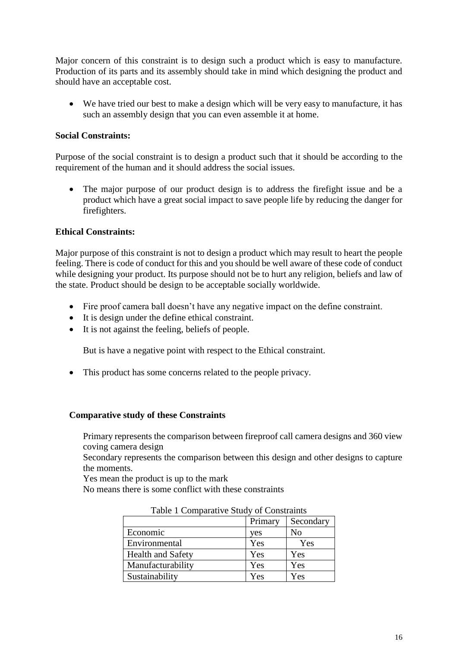Major concern of this constraint is to design such a product which is easy to manufacture. Production of its parts and its assembly should take in mind which designing the product and should have an acceptable cost.

 We have tried our best to make a design which will be very easy to manufacture, it has such an assembly design that you can even assemble it at home.

#### **Social Constraints:**

Purpose of the social constraint is to design a product such that it should be according to the requirement of the human and it should address the social issues.

 The major purpose of our product design is to address the firefight issue and be a product which have a great social impact to save people life by reducing the danger for firefighters.

#### **Ethical Constraints:**

Major purpose of this constraint is not to design a product which may result to heart the people feeling. There is code of conduct for this and you should be well aware of these code of conduct while designing your product. Its purpose should not be to hurt any religion, beliefs and law of the state. Product should be design to be acceptable socially worldwide.

- Fire proof camera ball doesn't have any negative impact on the define constraint.
- It is design under the define ethical constraint.
- It is not against the feeling, beliefs of people.

But is have a negative point with respect to the Ethical constraint.

• This product has some concerns related to the people privacy.

#### **Comparative study of these Constraints**

Primary represents the comparison between fireproof call camera designs and 360 view coving camera design

Secondary represents the comparison between this design and other designs to capture the moments.

Yes mean the product is up to the mark

<span id="page-15-0"></span>No means there is some conflict with these constraints

|                          | Primary | Secondary |
|--------------------------|---------|-----------|
| Economic                 | yes     | No        |
| Environmental            | Yes     | Yes       |
| <b>Health and Safety</b> | Yes     | Yes       |
| Manufacturability        | Yes     | Yes       |
| Sustainability           | Yes     | Yes       |

Table 1 Comparative Study of Constraints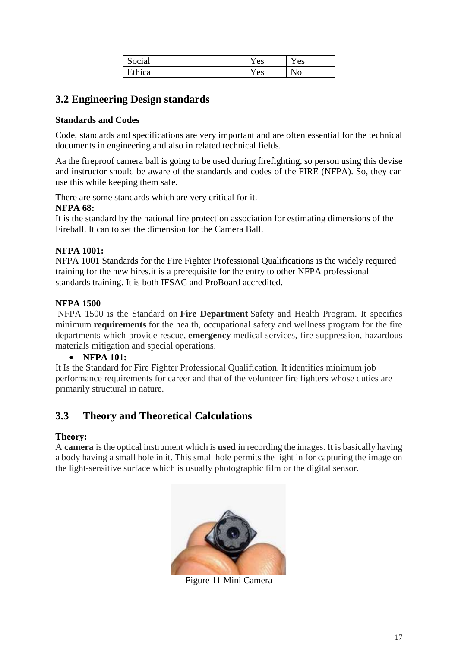| Social  | Y es | Y es           |
|---------|------|----------------|
| Ethical | Y es | N <sub>0</sub> |

## <span id="page-16-1"></span>**3.2 Engineering Design standards**

#### **Standards and Codes**

Code, standards and specifications are very important and are often essential for the technical documents in engineering and also in related technical fields.

Aa the fireproof camera ball is going to be used during firefighting, so person using this devise and instructor should be aware of the standards and codes of the FIRE (NFPA). So, they can use this while keeping them safe.

There are some standards which are very critical for it.

#### **NFPA 68:**

It is the standard by the national fire protection association for estimating dimensions of the Fireball. It can to set the dimension for the Camera Ball.

#### **NFPA 1001:**

NFPA 1001 Standards for the Fire Fighter Professional Qualifications is the widely required training for the new hires.it is a prerequisite for the entry to other NFPA professional standards training. It is both IFSAC and ProBoard accredited.

#### **NFPA 1500**

NFPA 1500 is the Standard on **Fire Department** Safety and Health Program. It specifies minimum **requirements** for the health, occupational safety and wellness program for the fire departments which provide rescue, **emergency** medical services, fire suppression, hazardous materials mitigation and special operations.

#### **NFPA 101:**

It Is the Standard for Fire Fighter Professional Qualification. It identifies minimum job performance requirements for career and that of the volunteer fire fighters whose duties are primarily structural in nature.

## <span id="page-16-2"></span>**3.3 Theory and Theoretical Calculations**

#### **Theory:**

<span id="page-16-0"></span>A **camera** is the optical instrument which is **used** in recording the images. It is basically having a body having a small hole in it. This small hole permits the light in for capturing the image on the light-sensitive surface which is usually photographic film or the digital sensor.



Figure 11 Mini Camera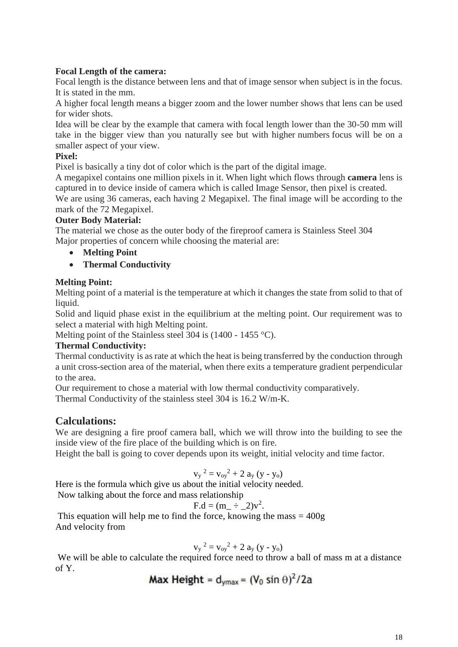#### **Focal Length of the camera:**

Focal length is the distance between lens and that of image sensor when subject is in the focus. It is stated in the mm.

A higher focal length means a bigger zoom and the lower number shows that lens can be used for wider shots.

Idea will be clear by the example that camera with focal length lower than the 30-50 mm will take in the bigger view than you naturally see but with higher numbers focus will be on a smaller aspect of your view.

#### **Pixel:**

Pixel is basically a tiny dot of color which is the part of the digital image.

A megapixel contains one million pixels in it. When light which flows through **camera** lens is captured in to device inside of camera which is called Image Sensor, then pixel is created.

We are using 36 cameras, each having 2 Megapixel. The final image will be according to the mark of the 72 Megapixel.

#### **Outer Body Material:**

The material we chose as the outer body of the fireproof camera is Stainless Steel 304 Major properties of concern while choosing the material are:

- **Melting Point**
- **Thermal Conductivity**

#### **Melting Point:**

Melting point of a material is the temperature at which it changes the state from solid to that of liquid.

Solid and liquid phase exist in the equilibrium at the melting point. Our requirement was to select a material with high Melting point.

Melting point of the Stainless steel 304 is (1400 - 1455 °C).

#### **Thermal Conductivity:**

Thermal conductivity is as rate at which the heat is being transferred by the conduction through a unit cross-section area of the material, when there exits a temperature gradient perpendicular to the area.

Our requirement to chose a material with low thermal conductivity comparatively. Thermal Conductivity of the stainless steel 304 is 16.2 W/m-K.

#### **Calculations:**

We are designing a fire proof camera ball, which we will throw into the building to see the inside view of the fire place of the building which is on fire.

Height the ball is going to cover depends upon its weight, initial velocity and time factor.

$$
v_y^2 = v_{oy}^2 + 2 a_y (y - y_o)
$$

Here is the formula which give us about the initial velocity needed.

Now talking about the force and mass relationship\n
$$
\sum_{n=1}^{\infty} \frac{1}{n^2}
$$

$$
F.d = (m_\perp \div \_2)v^2.
$$

This equation will help me to find the force, knowing the mass  $= 400g$ And velocity from

$$
v_y^2 = v_{oy}^2 + 2 a_y (y - y_o)
$$

We will be able to calculate the required force need to throw a ball of mass m at a distance of Y.

$$
Max Height = d_{\text{ymax}} = (V_0 \sin \theta)^2 / 2a
$$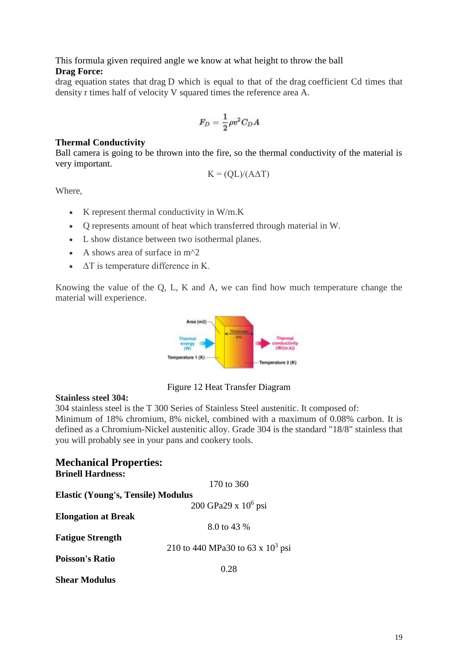#### This formula given required angle we know at what height to throw the ball **Drag Force:**

drag equation states that drag D which is equal to that of the drag coefficient Cd times that density r times half of velocity V squared times the reference area A.

$$
F_D = \frac{1}{2} \rho v^2 C_D A
$$

#### **Thermal Conductivity**

Ball camera is going to be thrown into the fire, so the thermal conductivity of the material is very important.

$$
K = (QL)/(A\Delta T)
$$

Where,

- $\bullet$  K represent thermal conductivity in W/m.K
- Q represents amount of heat which transferred through material in W.
- L show distance between two isothermal planes.
- A shows area of surface in  $m^2$
- $\triangle$   $\triangle$  T is temperature difference in K.

Knowing the value of the Q, L, K and A, we can find how much temperature change the material will experience.



Figure 12 Heat Transfer Diagram

#### <span id="page-18-0"></span>**Stainless steel 304:**

304 stainless steel is the T 300 Series of Stainless Steel austenitic. It composed of: Minimum of 18% chromium, 8% nickel, combined with a maximum of 0.08% carbon. It is defined as a Chromium-Nickel austenitic alloy. Grade 304 is the standard "18/8" stainless that you will probably see in your pans and cookery tools.

| <b>Mechanical Properties:</b>             |                                     |
|-------------------------------------------|-------------------------------------|
| <b>Brinell Hardness:</b>                  |                                     |
|                                           | 170 to $360$                        |
| <b>Elastic (Young's, Tensile) Modulus</b> |                                     |
|                                           | 200 GPa29 x $10^6$ psi              |
| <b>Elongation at Break</b>                |                                     |
|                                           | 8.0 to 43 %                         |
| <b>Fatigue Strength</b>                   |                                     |
|                                           | 210 to 440 MPa30 to 63 x $10^3$ psi |
| <b>Poisson's Ratio</b>                    |                                     |
|                                           | 0.28                                |
| <b>Shear Modulus</b>                      |                                     |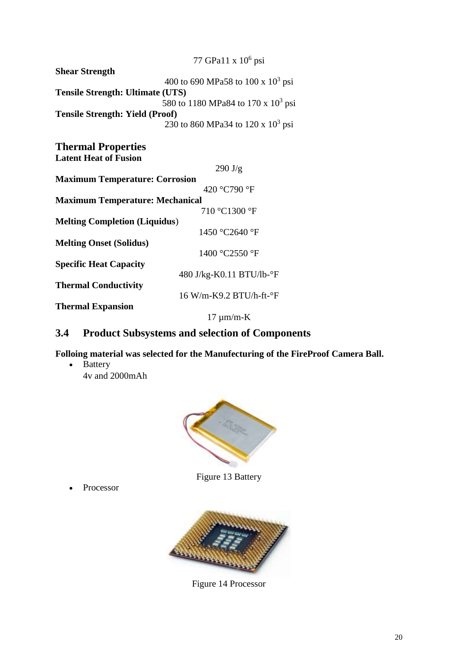|                                         | 77 GPa11 x 10 <sup>6</sup> psi        |  |  |
|-----------------------------------------|---------------------------------------|--|--|
| <b>Shear Strength</b>                   |                                       |  |  |
|                                         | 400 to 690 MPa58 to 100 x $10^3$ psi  |  |  |
| <b>Tensile Strength: Ultimate (UTS)</b> |                                       |  |  |
|                                         | 580 to 1180 MPa84 to 170 x $10^3$ psi |  |  |
| <b>Tensile Strength: Yield (Proof)</b>  |                                       |  |  |
|                                         | 230 to 860 MPa34 to 120 x $10^3$ psi  |  |  |
|                                         |                                       |  |  |
| <b>Thermal Properties</b>               |                                       |  |  |
| <b>Latent Heat of Fusion</b>            |                                       |  |  |
|                                         | $290 \text{ J/g}$                     |  |  |
| <b>Maximum Temperature: Corrosion</b>   |                                       |  |  |
|                                         | 420 °C790 °F                          |  |  |
| <b>Maximum Temperature: Mechanical</b>  |                                       |  |  |
|                                         | 710 °C1300 °F                         |  |  |
| <b>Melting Completion (Liquidus)</b>    |                                       |  |  |
|                                         | 1450 °C2640 °F                        |  |  |
| <b>Melting Onset (Solidus)</b>          |                                       |  |  |
|                                         | 1400 °C2550 °F                        |  |  |
| <b>Specific Heat Capacity</b>           |                                       |  |  |
|                                         | 480 J/kg-K0.11 BTU/lb-°F              |  |  |
| <b>Thermal Conductivity</b>             |                                       |  |  |
|                                         | 16 W/m-K9.2 BTU/h-ft-°F               |  |  |
| <b>Thermal Expansion</b>                |                                       |  |  |
|                                         | $17 \mu m/m-K$                        |  |  |

## <span id="page-19-2"></span>**3.4 Product Subsystems and selection of Components**

**Folloing material was selected for the Manufecturing of the FireProof Camera Ball.**

• Battery 4v and 2000mAh



Figure 13 Battery

<span id="page-19-1"></span><span id="page-19-0"></span>• Processor



Figure 14 Processor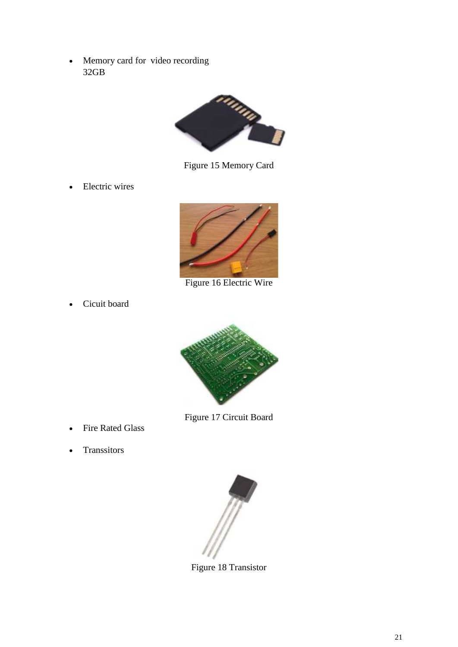Memory card for video recording 32GB



Figure 15 Memory Card

<span id="page-20-0"></span>• Electric wires



Figure 16 Electric Wire

<span id="page-20-1"></span>Cicuit board



Figure 17 Circuit Board

- <span id="page-20-2"></span>• Fire Rated Glass
- <span id="page-20-3"></span>• Transsitors



Figure 18 Transistor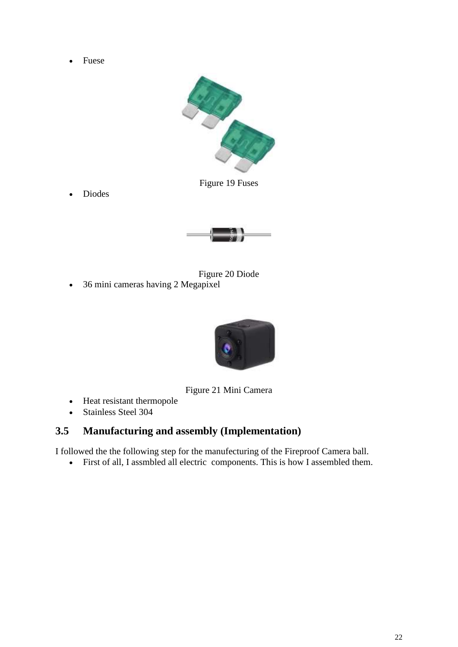• Fuese



Figure 19 Fuses

<span id="page-21-0"></span>Diodes



<span id="page-21-1"></span>



Figure 21 Mini Camera

- <span id="page-21-2"></span>• Heat resistant thermopole
- Stainless Steel 304

## <span id="page-21-3"></span>**3.5 Manufacturing and assembly (Implementation)**

I followed the the following step for the manufecturing of the Fireproof Camera ball.

First of all, I assmbled all electric components. This is how I assembled them.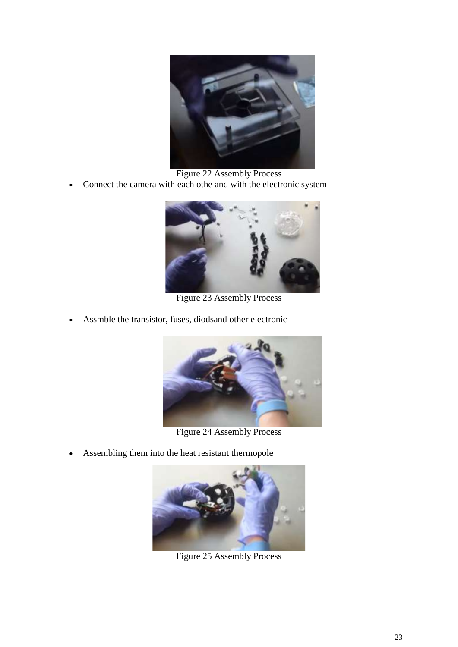

Figure 22 Assembly Process

<span id="page-22-0"></span>Connect the camera with each othe and with the electronic system



Figure 23 Assembly Process

<span id="page-22-1"></span>Assmble the transistor, fuses, diodsand other electronic



Figure 24 Assembly Process

<span id="page-22-3"></span><span id="page-22-2"></span>Assembling them into the heat resistant thermopole



Figure 25 Assembly Process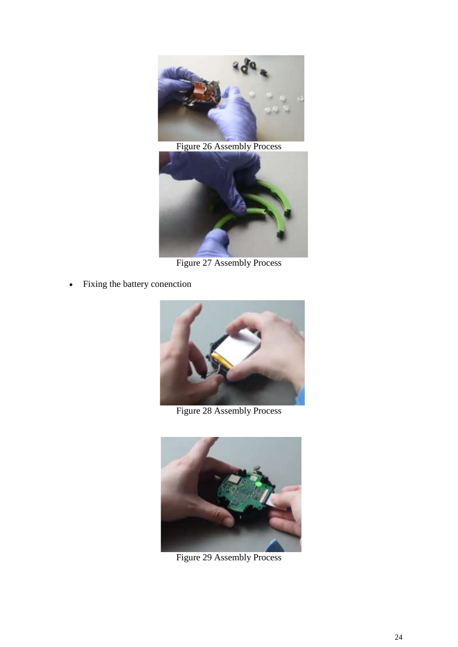

Figure 26 Assembly Process

<span id="page-23-0"></span>

Figure 27 Assembly Process

<span id="page-23-1"></span>Fixing the battery conenction



Figure 28 Assembly Process

<span id="page-23-3"></span><span id="page-23-2"></span>

Figure 29 Assembly Process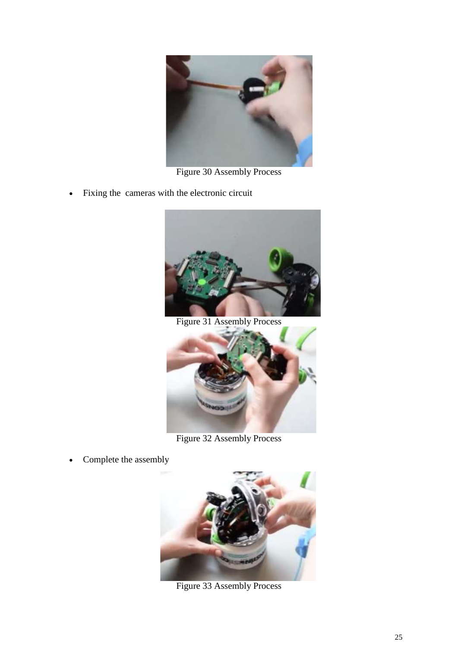

Figure 30 Assembly Process

<span id="page-24-0"></span>Fixing the cameras with the electronic circuit



Figure 31 Assembly Process

<span id="page-24-1"></span>

Figure 32 Assembly Process

<span id="page-24-3"></span><span id="page-24-2"></span>• Complete the assembly



Figure 33 Assembly Process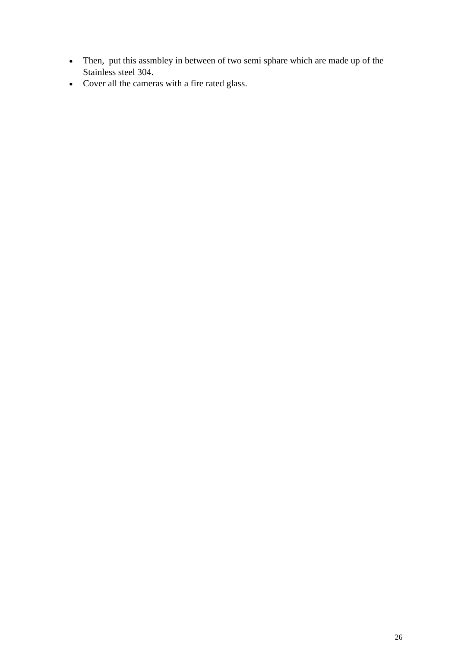- Then, put this assmbley in between of two semi sphare which are made up of the Stainless steel 304.
- Cover all the cameras with a fire rated glass.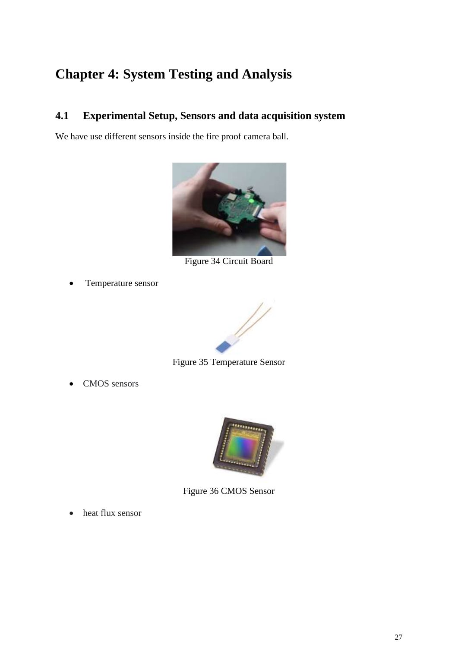# <span id="page-26-3"></span>**Chapter 4: System Testing and Analysis**

## <span id="page-26-4"></span>**4.1 Experimental Setup, Sensors and data acquisition system**

We have use different sensors inside the fire proof camera ball.



Figure 34 Circuit Board

<span id="page-26-0"></span>Temperature sensor



Figure 35 Temperature Sensor

<span id="page-26-1"></span>• CMOS sensors



Figure 36 CMOS Sensor

<span id="page-26-2"></span>• heat flux sensor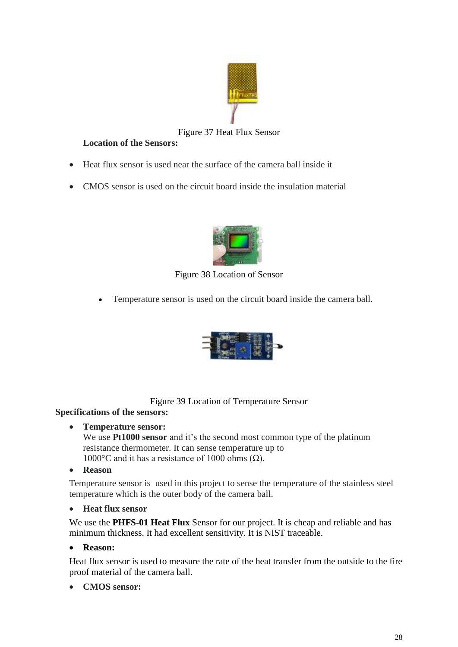

#### Figure 37 Heat Flux Sensor

#### <span id="page-27-0"></span>**Location of the Sensors:**

- Heat flux sensor is used near the surface of the camera ball inside it
- CMOS sensor is used on the circuit board inside the insulation material



Figure 38 Location of Sensor

<span id="page-27-1"></span>Temperature sensor is used on the circuit board inside the camera ball.



Figure 39 Location of Temperature Sensor

#### <span id="page-27-2"></span>**Specifications of the sensors:**

#### **Temperature sensor:**

We use **Pt1000 sensor** and it's the second most common type of the platinum resistance thermometer. It can sense temperature up to 1000 $\degree$ C and it has a resistance of 1000 ohms ( $\Omega$ ).

**Reason** 

Temperature sensor is used in this project to sense the temperature of the stainless steel temperature which is the outer body of the camera ball.

#### **Heat flux sensor**

We use the **PHFS-01 Heat Flux** Sensor for our project. It is cheap and reliable and has minimum thickness. It had excellent sensitivity. It is NIST traceable.

#### **Reason:**

Heat flux sensor is used to measure the rate of the heat transfer from the outside to the fire proof material of the camera ball.

#### **CMOS sensor:**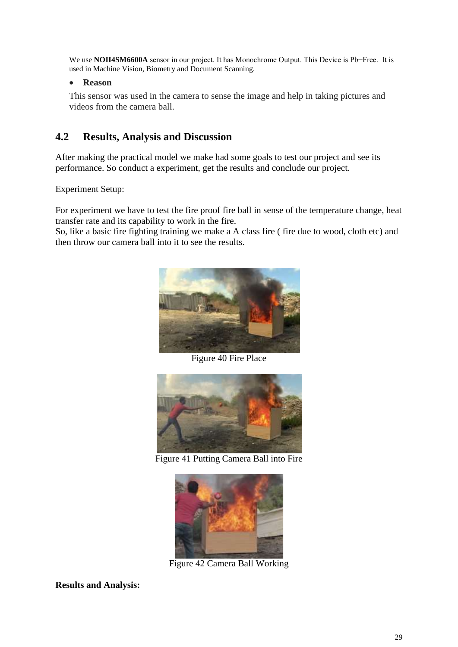We use **NOII4SM6600A** sensor in our project. It has Monochrome Output. This Device is Pb−Free. It is used in Machine Vision, Biometry and Document Scanning.

#### **Reason**

This sensor was used in the camera to sense the image and help in taking pictures and videos from the camera ball.

### <span id="page-28-3"></span>**4.2 Results, Analysis and Discussion**

After making the practical model we make had some goals to test our project and see its performance. So conduct a experiment, get the results and conclude our project.

Experiment Setup:

For experiment we have to test the fire proof fire ball in sense of the temperature change, heat transfer rate and its capability to work in the fire.

So, like a basic fire fighting training we make a A class fire ( fire due to wood, cloth etc) and then throw our camera ball into it to see the results.



Figure 40 Fire Place

<span id="page-28-0"></span>

Figure 41 Putting Camera Ball into Fire

<span id="page-28-1"></span>

Figure 42 Camera Ball Working

<span id="page-28-2"></span>**Results and Analysis:**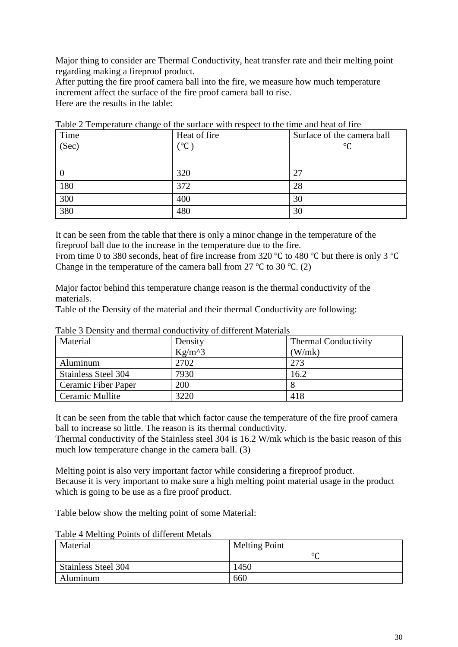Major thing to consider are Thermal Conductivity, heat transfer rate and their melting point regarding making a fireproof product.

After putting the fire proof camera ball into the fire, we measure how much temperature increment affect the surface of the fire proof camera ball to rise. Here are the results in the table:

| Time  | Heat of fire        | Surface of the camera ball |
|-------|---------------------|----------------------------|
| (Sec) | $(^\circ \text{C})$ | $^{\circ}C$                |
|       |                     |                            |
|       | 320                 | 27                         |
| 180   | 372                 | 28                         |
| 300   | 400                 | 30                         |
| 380   | 480                 | 30                         |

<span id="page-29-0"></span>Table 2 Temperature change of the surface with respect to the time and heat of fire

It can be seen from the table that there is only a minor change in the temperature of the fireproof ball due to the increase in the temperature due to the fire.

From time 0 to 380 seconds, heat of fire increase from 320 ℃ to 480 ℃ but there is only 3 ℃ Change in the temperature of the camera ball from 27 °C to 30 °C. (2)

Major factor behind this temperature change reason is the thermal conductivity of the materials.

Table of the Density of the material and their thermal Conductivity are following:

| Tuble 5 Density and inclinar conductivity of unfercite materials |            |                             |  |
|------------------------------------------------------------------|------------|-----------------------------|--|
| Material                                                         | Density    | <b>Thermal Conductivity</b> |  |
|                                                                  | $Kg/m^{3}$ | (W/mk)                      |  |
| Aluminum                                                         | 2702       | 273                         |  |
| Stainless Steel 304                                              | 7930       | 16.2                        |  |
| Ceramic Fiber Paper                                              | 200        |                             |  |
| Ceramic Mullite                                                  | 3220       | 418                         |  |

<span id="page-29-1"></span>Table 3 Density and thermal conductivity of different Materials

It can be seen from the table that which factor cause the temperature of the fire proof camera ball to increase so little. The reason is its thermal conductivity.

Thermal conductivity of the Stainless steel 304 is 16.2 W/mk which is the basic reason of this much low temperature change in the camera ball. (3)

Melting point is also very important factor while considering a fireproof product. Because it is very important to make sure a high melting point material usage in the product which is going to be use as a fire proof product.

Table below show the melting point of some Material:

| Table 4 Menting Politic of different Metals |                      |  |
|---------------------------------------------|----------------------|--|
| Material                                    | <b>Melting Point</b> |  |
|                                             | $\circ$              |  |
| <b>Stainless Steel 304</b>                  | 1450                 |  |
| Aluminum                                    | 660                  |  |

<span id="page-29-2"></span>Table 4 Melting Points of different Metals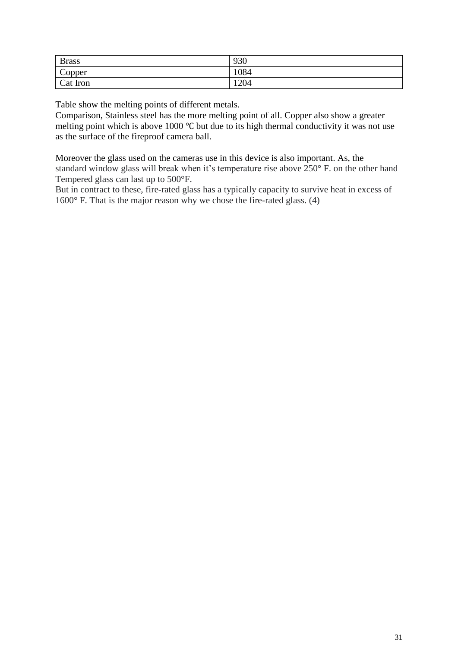| <b>Brass</b>     | 930  |
|------------------|------|
| $\sim$<br>Copper | 1084 |
| Cat Iron         | 1204 |

Table show the melting points of different metals.

Comparison, Stainless steel has the more melting point of all. Copper also show a greater melting point which is above 1000 ℃ but due to its high thermal conductivity it was not use as the surface of the fireproof camera ball.

Moreover the glass used on the cameras use in this device is also important. As, the standard window glass will break when it's temperature rise above 250° F. on the other hand Tempered glass can last up to 500°F.

But in contract to these, fire-rated glass has a typically capacity to survive heat in excess of 1600° F. That is the major reason why we chose the fire-rated glass. (4)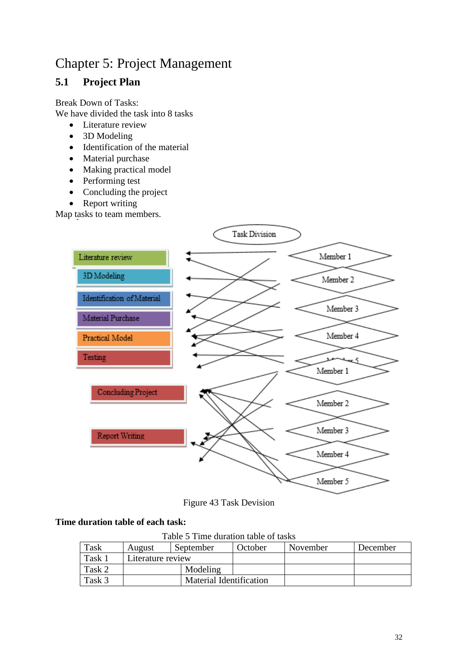## Chapter 5: Project Management

## <span id="page-31-2"></span>**5.1 Project Plan**

Break Down of Tasks: We have divided the task into 8 tasks

- Literature review
- 3D Modeling
- Identification of the material
- Material purchase
- Making practical model
- Performing test
- Concluding the project
- Report writing

Map tasks to team members.



Figure 43 Task Devision

#### <span id="page-31-1"></span><span id="page-31-0"></span>**Time duration table of each task:**

Table 5 Time duration table of tasks

| Task   | August            | September | October                        | November | December |  |
|--------|-------------------|-----------|--------------------------------|----------|----------|--|
| Task 1 | Literature review |           |                                |          |          |  |
| Task 2 |                   | Modeling  |                                |          |          |  |
| Task 3 |                   |           | <b>Material Identification</b> |          |          |  |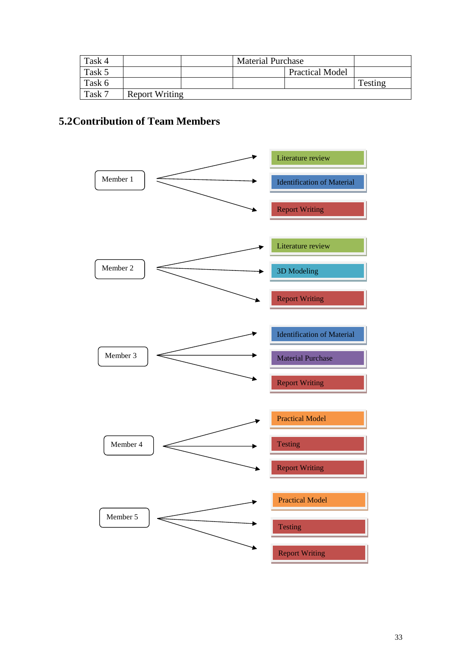| Task 4 |                       | <b>Material Purchase</b> |                        |         |
|--------|-----------------------|--------------------------|------------------------|---------|
| Task 5 |                       |                          | <b>Practical Model</b> |         |
| Task 6 |                       |                          |                        | Testing |
| Task 7 | <b>Report Writing</b> |                          |                        |         |

## <span id="page-32-0"></span>**5.2Contribution of Team Members**

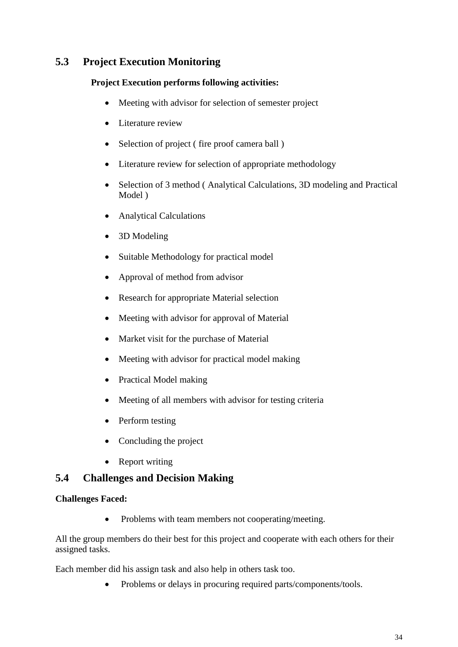## <span id="page-33-0"></span>**5.3 Project Execution Monitoring**

#### **Project Execution performs following activities:**

- Meeting with advisor for selection of semester project
- Literature review
- Selection of project (fire proof camera ball)
- Literature review for selection of appropriate methodology
- Selection of 3 method (Analytical Calculations, 3D modeling and Practical Model )
- Analytical Calculations
- 3D Modeling
- Suitable Methodology for practical model
- Approval of method from advisor
- Research for appropriate Material selection
- Meeting with advisor for approval of Material
- Market visit for the purchase of Material
- Meeting with advisor for practical model making
- Practical Model making
- Meeting of all members with advisor for testing criteria
- Perform testing
- Concluding the project
- Report writing

#### <span id="page-33-1"></span>**5.4 Challenges and Decision Making**

#### **Challenges Faced:**

• Problems with team members not cooperating/meeting.

All the group members do their best for this project and cooperate with each others for their assigned tasks.

Each member did his assign task and also help in others task too.

• Problems or delays in procuring required parts/components/tools.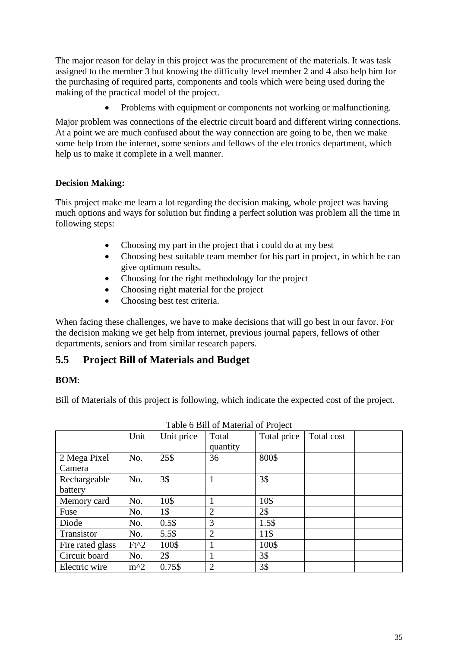The major reason for delay in this project was the procurement of the materials. It was task assigned to the member 3 but knowing the difficulty level member 2 and 4 also help him for the purchasing of required parts, components and tools which were being used during the making of the practical model of the project.

• Problems with equipment or components not working or malfunctioning.

Major problem was connections of the electric circuit board and different wiring connections. At a point we are much confused about the way connection are going to be, then we make some help from the internet, some seniors and fellows of the electronics department, which help us to make it complete in a well manner.

#### **Decision Making:**

This project make me learn a lot regarding the decision making, whole project was having much options and ways for solution but finding a perfect solution was problem all the time in following steps:

- Choosing my part in the project that i could do at my best
- Choosing best suitable team member for his part in project, in which he can give optimum results.
- Choosing for the right methodology for the project
- Choosing right material for the project
- Choosing best test criteria.

When facing these challenges, we have to make decisions that will go best in our favor. For the decision making we get help from internet, previous journal papers, fellows of other departments, seniors and from similar research papers.

#### <span id="page-34-1"></span>**5.5 Project Bill of Materials and Budget**

#### **BOM**:

Bill of Materials of this project is following, which indicate the expected cost of the project.

<span id="page-34-0"></span>

|                         | Unit   | Unit price | Total<br>quantity | Total price | Total cost |
|-------------------------|--------|------------|-------------------|-------------|------------|
| 2 Mega Pixel<br>Camera  | No.    | 25\$       | 36                | 800\$       |            |
| Rechargeable<br>battery | No.    | 3\$        |                   | 3\$         |            |
| Memory card             | No.    | 10\$       |                   | 10\$        |            |
| Fuse                    | No.    | 1\$        | $\overline{2}$    | 2\$         |            |
| Diode                   | No.    | 0.5\$      | 3                 | 1.5\$       |            |
| Transistor              | No.    | 5.5\$      | $\overline{2}$    | 11\$        |            |
| Fire rated glass        | $Ft^2$ | 100\$      |                   | 100\$       |            |
| Circuit board           | No.    | 2\$        |                   | 3\$         |            |
| Electric wire           | $m^2$  | 0.75\$     | $\overline{2}$    | 3\$         |            |

Table 6 Bill of Material of Project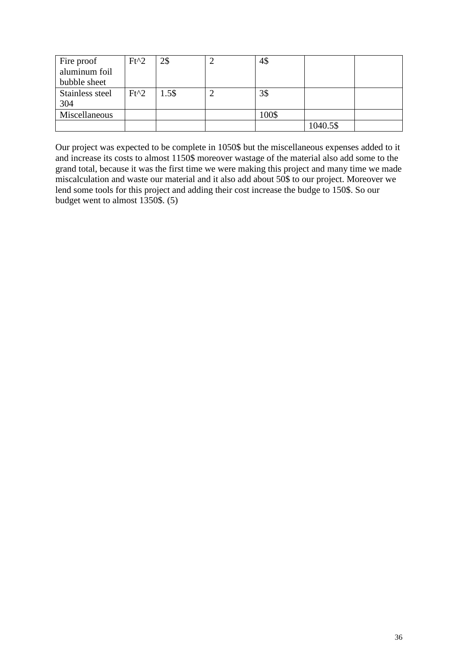| Fire proof      | $Ft^2$ | 2\$   | 4\$   |          |  |
|-----------------|--------|-------|-------|----------|--|
| aluminum foil   |        |       |       |          |  |
| bubble sheet    |        |       |       |          |  |
| Stainless steel | $Ft^2$ | 1.5\$ | 3\$   |          |  |
| 304             |        |       |       |          |  |
| Miscellaneous   |        |       | 100\$ |          |  |
|                 |        |       |       | 1040.5\$ |  |

Our project was expected to be complete in 1050\$ but the miscellaneous expenses added to it and increase its costs to almost 1150\$ moreover wastage of the material also add some to the grand total, because it was the first time we were making this project and many time we made miscalculation and waste our material and it also add about 50\$ to our project. Moreover we lend some tools for this project and adding their cost increase the budge to 150\$. So our budget went to almost 1350\$. (5)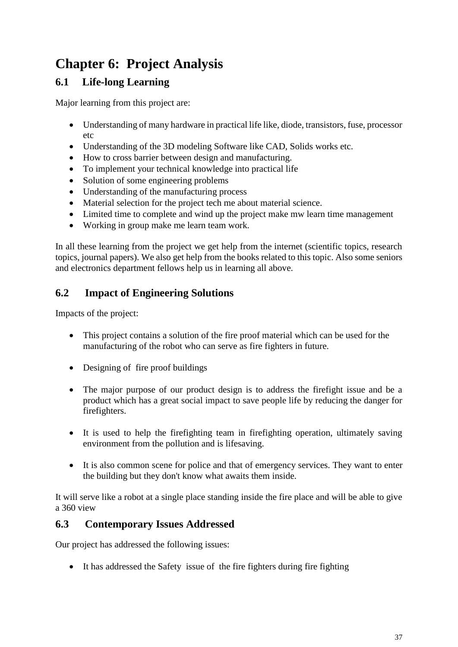# <span id="page-36-0"></span>**Chapter 6: Project Analysis**

## <span id="page-36-1"></span>**6.1 Life-long Learning**

Major learning from this project are:

- Understanding of many hardware in practical life like, diode, transistors, fuse, processor etc
- Understanding of the 3D modeling Software like CAD, Solids works etc.
- How to cross barrier between design and manufacturing.
- To implement your technical knowledge into practical life
- Solution of some engineering problems
- Understanding of the manufacturing process
- Material selection for the project tech me about material science.
- Limited time to complete and wind up the project make mw learn time management
- Working in group make me learn team work.

In all these learning from the project we get help from the internet (scientific topics, research topics, journal papers). We also get help from the books related to this topic. Also some seniors and electronics department fellows help us in learning all above.

## <span id="page-36-2"></span>**6.2 Impact of Engineering Solutions**

Impacts of the project:

- This project contains a solution of the fire proof material which can be used for the manufacturing of the robot who can serve as fire fighters in future.
- Designing of fire proof buildings
- The major purpose of our product design is to address the firefight issue and be a product which has a great social impact to save people life by reducing the danger for firefighters.
- It is used to help the firefighting team in firefighting operation, ultimately saving environment from the pollution and is lifesaving.
- It is also common scene for police and that of emergency services. They want to enter the building but they don't know what awaits them inside.

It will serve like a robot at a single place standing inside the fire place and will be able to give a 360 view

#### <span id="page-36-3"></span>**6.3 Contemporary Issues Addressed**

Our project has addressed the following issues:

It has addressed the Safety issue of the fire fighters during fire fighting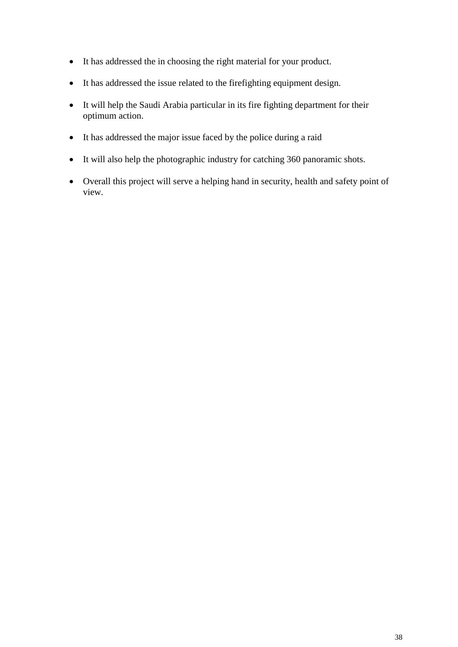- It has addressed the in choosing the right material for your product.
- It has addressed the issue related to the firefighting equipment design.
- It will help the Saudi Arabia particular in its fire fighting department for their optimum action.
- It has addressed the major issue faced by the police during a raid
- It will also help the photographic industry for catching 360 panoramic shots.
- Overall this project will serve a helping hand in security, health and safety point of view.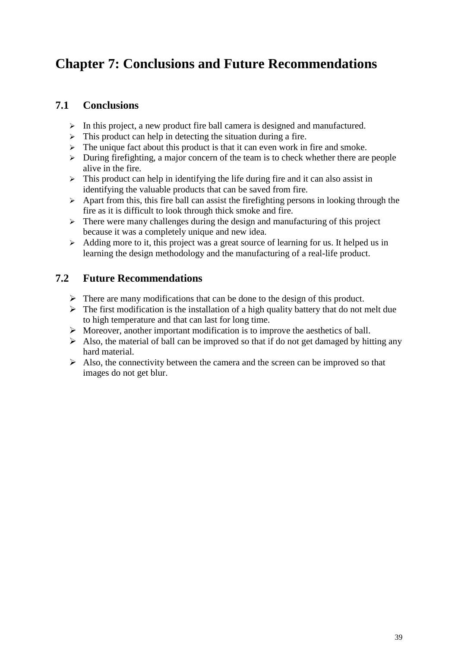# <span id="page-38-0"></span>**Chapter 7: Conclusions and Future Recommendations**

#### <span id="page-38-1"></span>**7.1 Conclusions**

- $\triangleright$  In this project, a new product fire ball camera is designed and manufactured.
- $\triangleright$  This product can help in detecting the situation during a fire.
- $\triangleright$  The unique fact about this product is that it can even work in fire and smoke.
- $\triangleright$  During firefighting, a major concern of the team is to check whether there are people alive in the fire.
- $\triangleright$  This product can help in identifying the life during fire and it can also assist in identifying the valuable products that can be saved from fire.
- $\triangleright$  Apart from this, this fire ball can assist the firefighting persons in looking through the fire as it is difficult to look through thick smoke and fire.
- $\triangleright$  There were many challenges during the design and manufacturing of this project because it was a completely unique and new idea.
- $\triangleright$  Adding more to it, this project was a great source of learning for us. It helped us in learning the design methodology and the manufacturing of a real-life product.

#### <span id="page-38-2"></span>**7.2 Future Recommendations**

- $\triangleright$  There are many modifications that can be done to the design of this product.
- $\triangleright$  The first modification is the installation of a high quality battery that do not melt due to high temperature and that can last for long time.
- $\triangleright$  Moreover, another important modification is to improve the aesthetics of ball.
- $\triangleright$  Also, the material of ball can be improved so that if do not get damaged by hitting any hard material.
- $\triangleright$  Also, the connectivity between the camera and the screen can be improved so that images do not get blur.